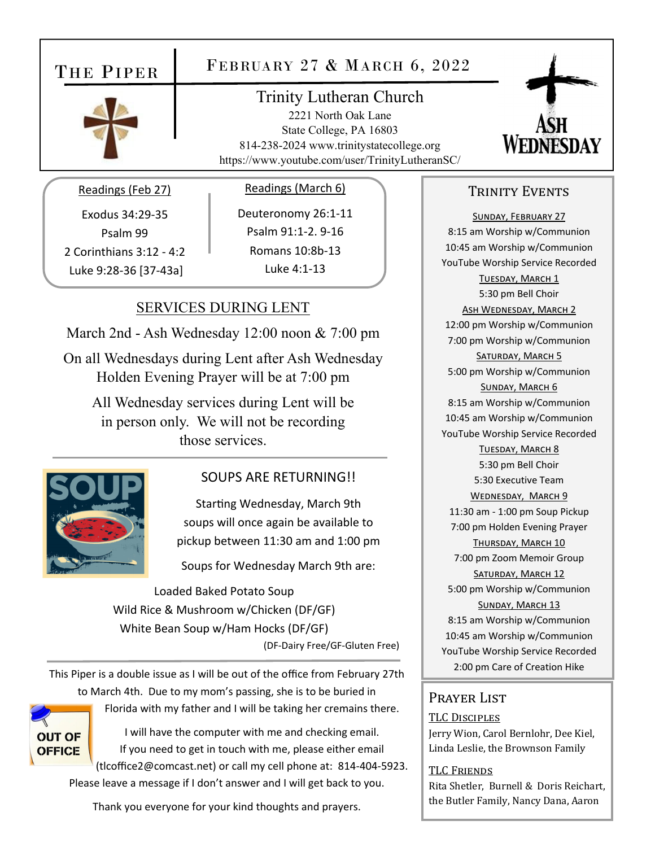# THE PIPER

# FEBRUARY 27 & MARCH 6, 2022



# Trinity Lutheran Church

2221 North Oak Lane State College, PA 16803 814-238-2024 www.trinitystatecollege.org https://www.youtube.com/user/TrinityLutheranSC/



#### Readings (Feb 27)

Exodus 34:29‐35 Psalm 99 2 Corinthians 3:12 ‐ 4:2 Luke 9:28‐36 [37‐43a]

#### Readings (March 6)

Deuteronomy 26:1‐11 Psalm 91:1‐2. 9‐16 Romans 10:8b‐13 Luke 4:1‐13

### SERVICES DURING LENT

March 2nd - Ash Wednesday 12:00 noon & 7:00 pm

On all Wednesdays during Lent after Ash Wednesday Holden Evening Prayer will be at 7:00 pm

All Wednesday services during Lent will be in person only. We will not be recording those services.



#### SOUPS ARE RETURNING!!

Starting Wednesday, March 9th soups will once again be available to pickup between 11:30 am and 1:00 pm

Soups for Wednesday March 9th are:

Loaded Baked Potato Soup Wild Rice & Mushroom w/Chicken (DF/GF) White Bean Soup w/Ham Hocks (DF/GF) (DF‐Dairy Free/GF‐Gluten Free)

This Piper is a double issue as I will be out of the office from February 27th to March 4th. Due to my mom's passing, she is to be buried in



Florida with my father and I will be taking her cremains there.

I will have the computer with me and checking email. If you need to get in touch with me, please either email (tlcoffice2@comcast.net) or call my cell phone at: 814‐404‐5923. Please leave a message if I don't answer and I will get back to you.

Thank you everyone for your kind thoughts and prayers.

#### TRINITY EVENTS

SUNDAY, FEBRUARY 27 8:15 am Worship w/Communion 10:45 am Worship w/Communion YouTube Worship Service Recorded TUESDAY, MARCH 1 5:30 pm Bell Choir ASH WEDNESDAY, MARCH 2 12:00 pm Worship w/Communion 7:00 pm Worship w/Communion SATURDAY, MARCH 5 5:00 pm Worship w/Communion SUNDAY, MARCH 6 8:15 am Worship w/Communion 10:45 am Worship w/Communion YouTube Worship Service Recorded TUESDAY, MARCH 8 5:30 pm Bell Choir 5:30 Executive Team WEDNESDAY, MARCH 9 11:30 am ‐ 1:00 pm Soup Pickup 7:00 pm Holden Evening Prayer THURSDAY, MARCH 10 7:00 pm Zoom Memoir Group SATURDAY, MARCH 12 5:00 pm Worship w/Communion SUNDAY, MARCH 13 8:15 am Worship w/Communion 10:45 am Worship w/Communion YouTube Worship Service Recorded 2:00 pm Care of Creation Hike

#### Prayer List

#### TLC DISCIPLES

Jerry Wion, Carol Bernlohr, Dee Kiel, Linda Leslie, the Brownson Family

#### TLC FRIENDS

Rita Shetler, Burnell & Doris Reichart, the Butler Family, Nancy Dana, Aaron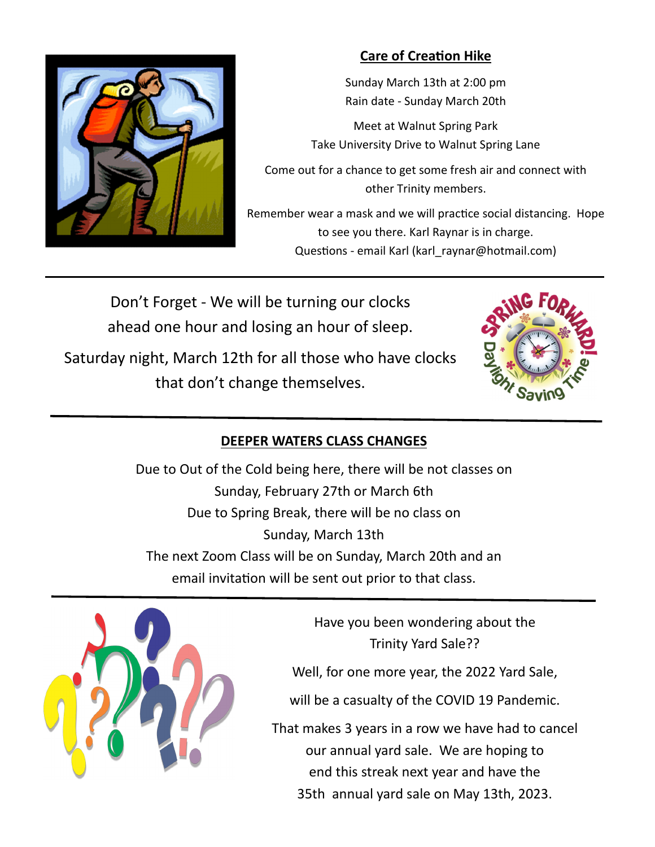

# **Care of CreaƟon Hike**

Sunday March 13th at 2:00 pm Rain date ‐ Sunday March 20th

Meet at Walnut Spring Park Take University Drive to Walnut Spring Lane

Come out for a chance to get some fresh air and connect with other Trinity members.

Remember wear a mask and we will practice social distancing. Hope to see you there. Karl Raynar is in charge. Questions - email Karl (karl raynar@hotmail.com)

Don't Forget ‐ We will be turning our clocks ahead one hour and losing an hour of sleep.

Saturday night, March 12th for all those who have clocks that don't change themselves.



## **DEEPER WATERS CLASS CHANGES**

Due to Out of the Cold being here, there will be not classes on Sunday, February 27th or March 6th Due to Spring Break, there will be no class on Sunday, March 13th The next Zoom Class will be on Sunday, March 20th and an email invitation will be sent out prior to that class.



Have you been wondering about the Trinity Yard Sale??

Well, for one more year, the 2022 Yard Sale,

will be a casualty of the COVID 19 Pandemic.

That makes 3 years in a row we have had to cancel our annual yard sale. We are hoping to end this streak next year and have the 35th annual yard sale on May 13th, 2023.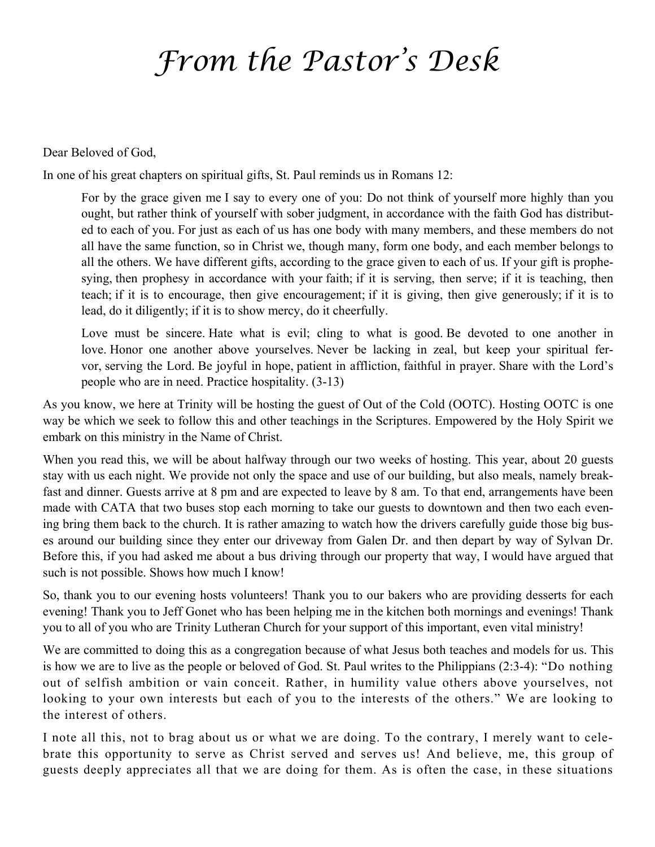# *From the Pastor's Desk*

Dear Beloved of God,

In one of his great chapters on spiritual gifts, St. Paul reminds us in Romans 12:

For by the grace given me I say to every one of you: Do not think of yourself more highly than you ought, but rather think of yourself with sober judgment, in accordance with the faith God has distributed to each of you. For just as each of us has one body with many members, and these members do not all have the same function, so in Christ we, though many, form one body, and each member belongs to all the others. We have different gifts, according to the grace given to each of us. If your gift is prophesying, then prophesy in accordance with your faith; if it is serving, then serve; if it is teaching, then teach; if it is to encourage, then give encouragement; if it is giving, then give generously; if it is to lead, do it diligently; if it is to show mercy, do it cheerfully.

Love must be sincere. Hate what is evil; cling to what is good. Be devoted to one another in love. Honor one another above yourselves. Never be lacking in zeal, but keep your spiritual fervor, serving the Lord. Be joyful in hope, patient in affliction, faithful in prayer. Share with the Lord's people who are in need. Practice hospitality. (3-13)

As you know, we here at Trinity will be hosting the guest of Out of the Cold (OOTC). Hosting OOTC is one way be which we seek to follow this and other teachings in the Scriptures. Empowered by the Holy Spirit we embark on this ministry in the Name of Christ.

When you read this, we will be about halfway through our two weeks of hosting. This year, about 20 guests stay with us each night. We provide not only the space and use of our building, but also meals, namely breakfast and dinner. Guests arrive at 8 pm and are expected to leave by 8 am. To that end, arrangements have been made with CATA that two buses stop each morning to take our guests to downtown and then two each evening bring them back to the church. It is rather amazing to watch how the drivers carefully guide those big buses around our building since they enter our driveway from Galen Dr. and then depart by way of Sylvan Dr. Before this, if you had asked me about a bus driving through our property that way, I would have argued that such is not possible. Shows how much I know!

So, thank you to our evening hosts volunteers! Thank you to our bakers who are providing desserts for each evening! Thank you to Jeff Gonet who has been helping me in the kitchen both mornings and evenings! Thank you to all of you who are Trinity Lutheran Church for your support of this important, even vital ministry!

We are committed to doing this as a congregation because of what Jesus both teaches and models for us. This is how we are to live as the people or beloved of God. St. Paul writes to the Philippians (2:3-4): "Do nothing out of selfish ambition or vain conceit. Rather, in humility value others above yourselves, not looking to your own interests but each of you to the interests of the others." We are looking to the interest of others.

I note all this, not to brag about us or what we are doing. To the contrary, I merely want to celebrate this opportunity to serve as Christ served and serves us! And believe, me, this group of guests deeply appreciates all that we are doing for them. As is often the case, in these situations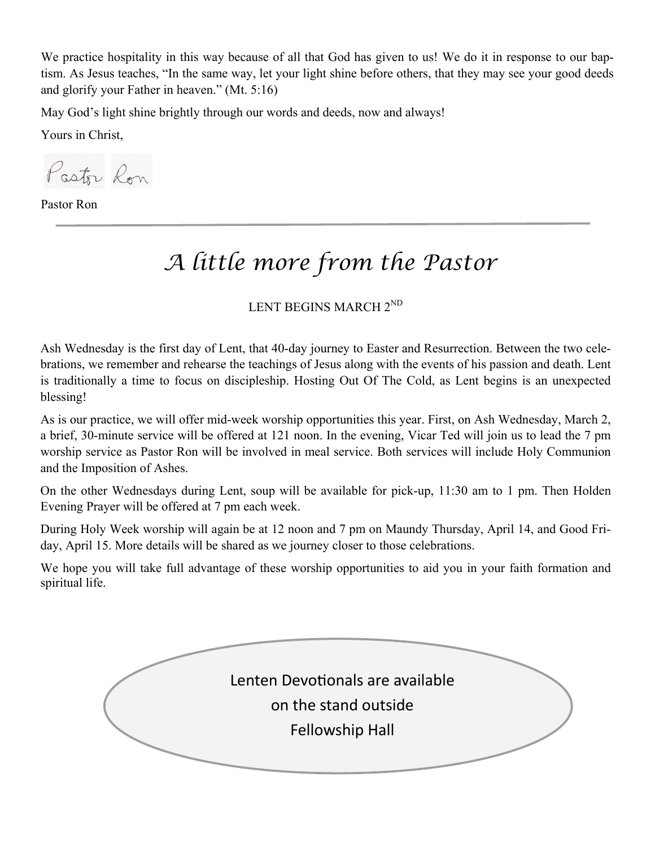We practice hospitality in this way because of all that God has given to us! We do it in response to our baptism. As Jesus teaches, "In the same way, let your light shine before others, that they may see your good deeds and glorify your Father in heaven." (Mt. 5:16)

May God's light shine brightly through our words and deeds, now and always!

Yours in Christ,

Pastor Ron

Pastor Ron

# *A little more from the Pastor*

LENT BEGINS MARCH 2ND

Ash Wednesday is the first day of Lent, that 40-day journey to Easter and Resurrection. Between the two celebrations, we remember and rehearse the teachings of Jesus along with the events of his passion and death. Lent is traditionally a time to focus on discipleship. Hosting Out Of The Cold, as Lent begins is an unexpected blessing!

As is our practice, we will offer mid-week worship opportunities this year. First, on Ash Wednesday, March 2, a brief, 30-minute service will be offered at 121 noon. In the evening, Vicar Ted will join us to lead the 7 pm worship service as Pastor Ron will be involved in meal service. Both services will include Holy Communion and the Imposition of Ashes.

On the other Wednesdays during Lent, soup will be available for pick-up, 11:30 am to 1 pm. Then Holden Evening Prayer will be offered at 7 pm each week.

During Holy Week worship will again be at 12 noon and 7 pm on Maundy Thursday, April 14, and Good Friday, April 15. More details will be shared as we journey closer to those celebrations.

We hope you will take full advantage of these worship opportunities to aid you in your faith formation and spiritual life.